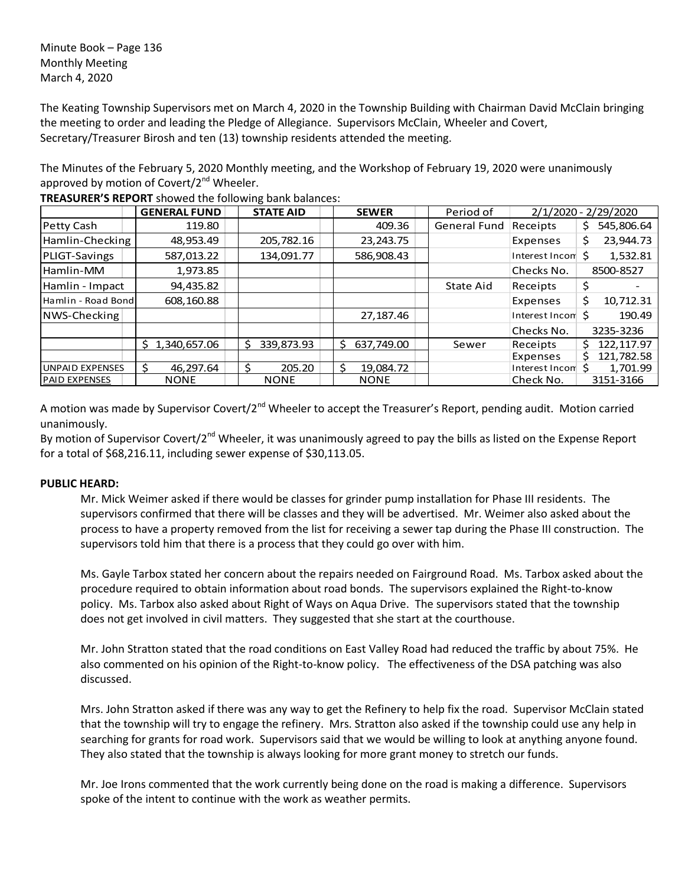Minute Book – Page 136 Monthly Meeting March 4, 2020

The Keating Township Supervisors met on March 4, 2020 in the Township Building with Chairman David McClain bringing the meeting to order and leading the Pledge of Allegiance. Supervisors McClain, Wheeler and Covert, Secretary/Treasurer Birosh and ten (13) township residents attended the meeting.

The Minutes of the February 5, 2020 Monthly meeting, and the Workshop of February 19, 2020 were unanimously approved by motion of Covert/ $2<sup>nd</sup>$  Wheeler.

|                        | <b>GENERAL FUND</b> | <b>STATE AID</b> | <b>SEWER</b>     | Period of           |                  | 2/1/2020 - 2/29/2020 |
|------------------------|---------------------|------------------|------------------|---------------------|------------------|----------------------|
| Petty Cash             | 119.80              |                  | 409.36           | <b>General Fund</b> | Receipts         | 545,806.64<br>\$.    |
| Hamlin-Checking        | 48,953.49           | 205,782.16       | 23, 243. 75      |                     | Expenses         | 23,944.73<br>\$      |
| PLIGT-Savings          | 587,013.22          | 134,091.77       | 586,908.43       |                     | Interest Incon   | 1,532.81             |
| Hamlin-MM              | 1,973.85            |                  |                  |                     | Checks No.       | 8500-8527            |
| Hamlin - Impact        | 94,435.82           |                  |                  | State Aid           | Receipts         | \$                   |
| Hamlin - Road Bond     | 608,160.88          |                  |                  |                     | Expenses         | Ś<br>10,712.31       |
| NWS-Checking           |                     |                  | 27,187.46        |                     | Interest Incom S | 190.49               |
|                        |                     |                  |                  |                     | Checks No.       | 3235-3236            |
|                        | 1,340,657.06<br>S.  | 339,873.93<br>S  | Ŝ.<br>637,749.00 | Sewer               | Receipts         | 122,117.97           |
|                        |                     |                  |                  |                     | Expenses         | 121,782.58<br>S      |
| <b>UNPAID EXPENSES</b> | 46.297.64           | 205.20           | Ś<br>19,084.72   |                     | Interest Incom S | 1,701.99             |
| <b>PAID EXPENSES</b>   | <b>NONE</b>         | <b>NONE</b>      | <b>NONE</b>      |                     | Check No.        | 3151-3166            |

**TREASURER'S REPORT** showed the following bank balances:

A motion was made by Supervisor Covert/2<sup>nd</sup> Wheeler to accept the Treasurer's Report, pending audit. Motion carried unanimously.

By motion of Supervisor Covert/2<sup>nd</sup> Wheeler, it was unanimously agreed to pay the bills as listed on the Expense Report for a total of \$68,216.11, including sewer expense of \$30,113.05.

## **PUBLIC HEARD:**

Mr. Mick Weimer asked if there would be classes for grinder pump installation for Phase III residents. The supervisors confirmed that there will be classes and they will be advertised. Mr. Weimer also asked about the process to have a property removed from the list for receiving a sewer tap during the Phase III construction. The supervisors told him that there is a process that they could go over with him.

Ms. Gayle Tarbox stated her concern about the repairs needed on Fairground Road. Ms. Tarbox asked about the procedure required to obtain information about road bonds. The supervisors explained the Right-to-know policy. Ms. Tarbox also asked about Right of Ways on Aqua Drive. The supervisors stated that the township does not get involved in civil matters. They suggested that she start at the courthouse.

Mr. John Stratton stated that the road conditions on East Valley Road had reduced the traffic by about 75%. He also commented on his opinion of the Right-to-know policy. The effectiveness of the DSA patching was also discussed.

Mrs. John Stratton asked if there was any way to get the Refinery to help fix the road. Supervisor McClain stated that the township will try to engage the refinery. Mrs. Stratton also asked if the township could use any help in searching for grants for road work. Supervisors said that we would be willing to look at anything anyone found. They also stated that the township is always looking for more grant money to stretch our funds.

Mr. Joe Irons commented that the work currently being done on the road is making a difference. Supervisors spoke of the intent to continue with the work as weather permits.